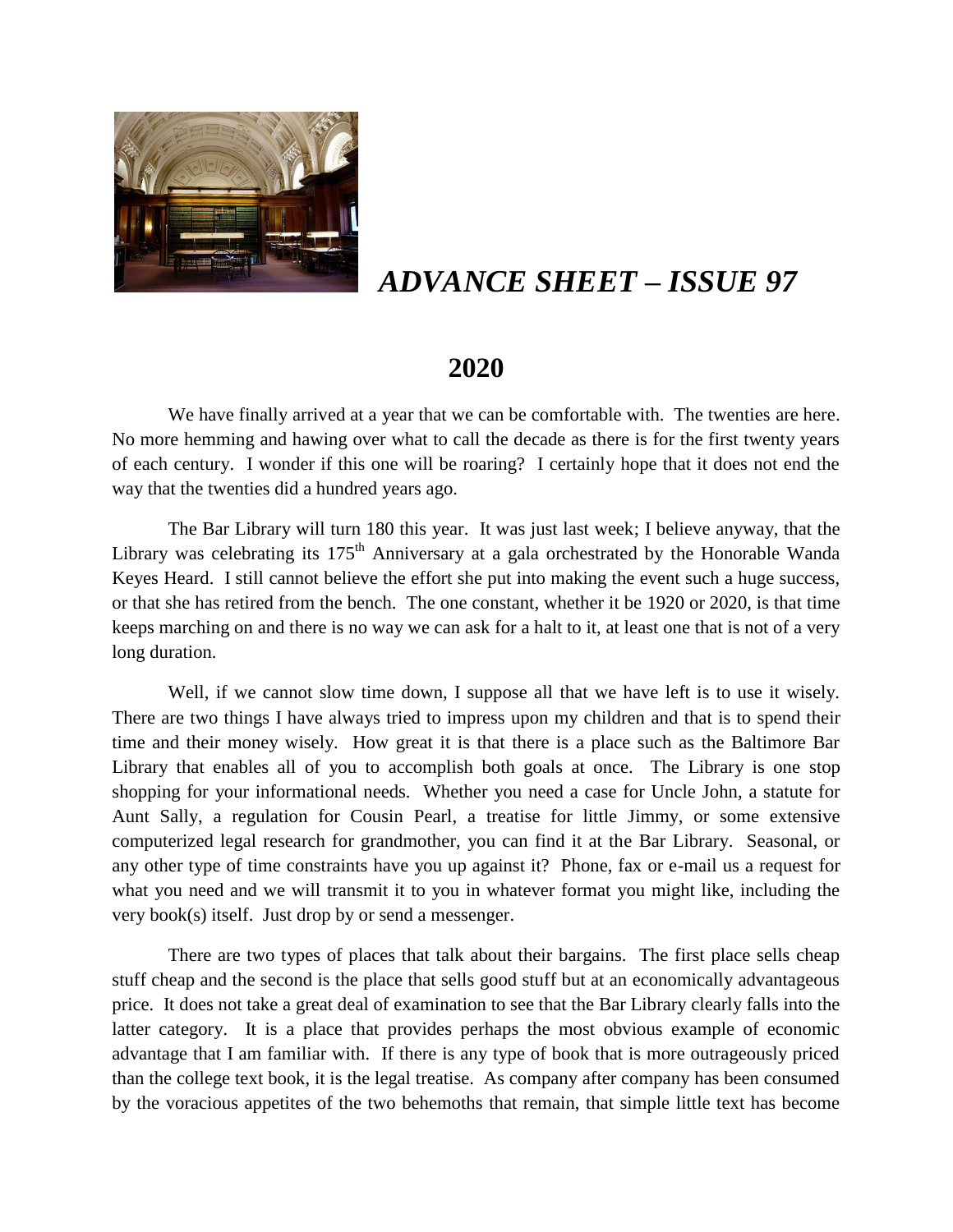

# *ADVANCE SHEET – ISSUE 97*

# **2020**

We have finally arrived at a year that we can be comfortable with. The twenties are here. No more hemming and hawing over what to call the decade as there is for the first twenty years of each century. I wonder if this one will be roaring? I certainly hope that it does not end the way that the twenties did a hundred years ago.

The Bar Library will turn 180 this year. It was just last week; I believe anyway, that the Library was celebrating its  $175<sup>th</sup>$  Anniversary at a gala orchestrated by the Honorable Wanda Keyes Heard. I still cannot believe the effort she put into making the event such a huge success, or that she has retired from the bench. The one constant, whether it be 1920 or 2020, is that time keeps marching on and there is no way we can ask for a halt to it, at least one that is not of a very long duration.

Well, if we cannot slow time down, I suppose all that we have left is to use it wisely. There are two things I have always tried to impress upon my children and that is to spend their time and their money wisely. How great it is that there is a place such as the Baltimore Bar Library that enables all of you to accomplish both goals at once. The Library is one stop shopping for your informational needs. Whether you need a case for Uncle John, a statute for Aunt Sally, a regulation for Cousin Pearl, a treatise for little Jimmy, or some extensive computerized legal research for grandmother, you can find it at the Bar Library. Seasonal, or any other type of time constraints have you up against it? Phone, fax or e-mail us a request for what you need and we will transmit it to you in whatever format you might like, including the very book(s) itself. Just drop by or send a messenger.

There are two types of places that talk about their bargains. The first place sells cheap stuff cheap and the second is the place that sells good stuff but at an economically advantageous price. It does not take a great deal of examination to see that the Bar Library clearly falls into the latter category. It is a place that provides perhaps the most obvious example of economic advantage that I am familiar with. If there is any type of book that is more outrageously priced than the college text book, it is the legal treatise. As company after company has been consumed by the voracious appetites of the two behemoths that remain, that simple little text has become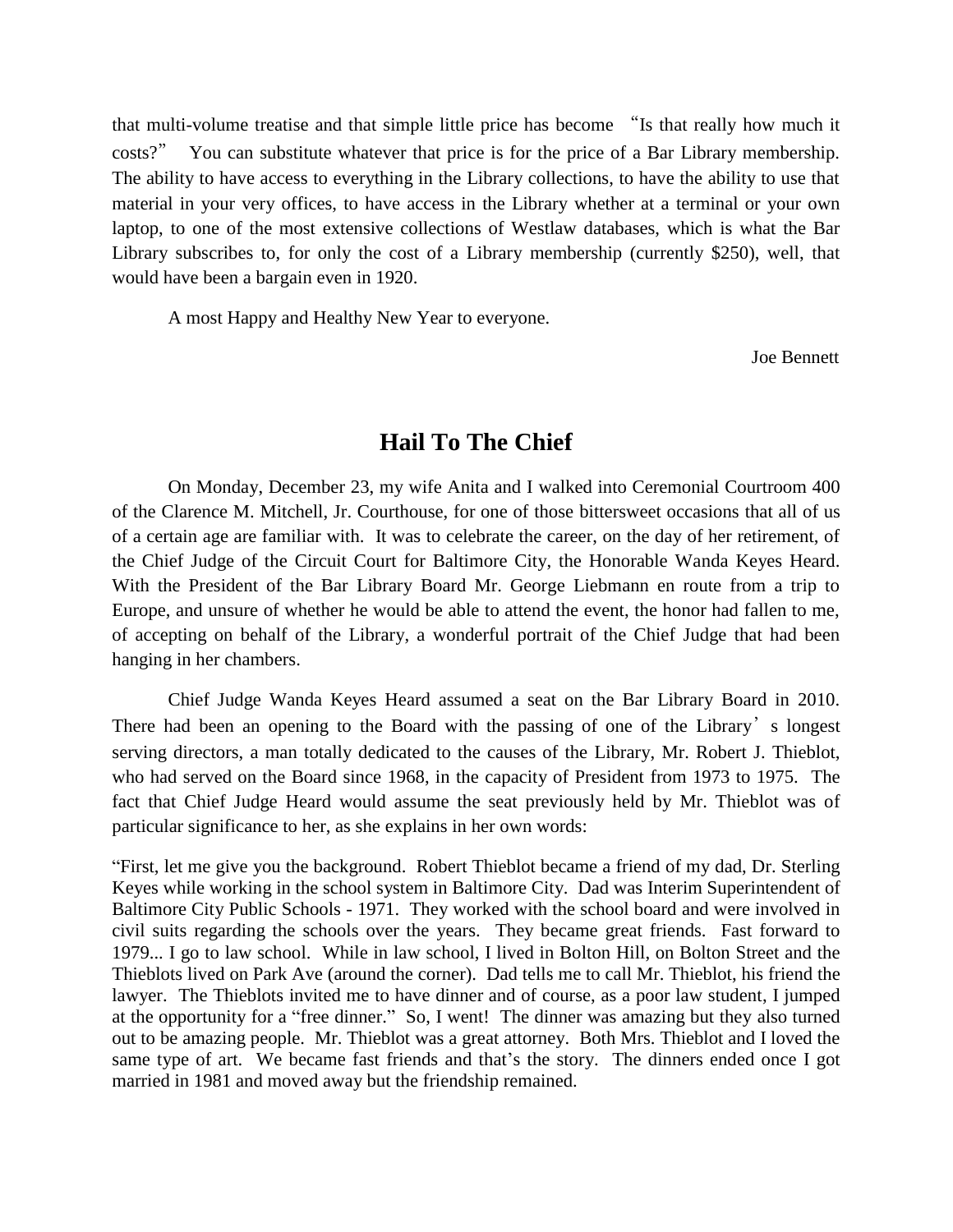that multi-volume treatise and that simple little price has become "Is that really how much it costs?" You can substitute whatever that price is for the price of a Bar Library membership. The ability to have access to everything in the Library collections, to have the ability to use that material in your very offices, to have access in the Library whether at a terminal or your own laptop, to one of the most extensive collections of Westlaw databases, which is what the Bar Library subscribes to, for only the cost of a Library membership (currently \$250), well, that would have been a bargain even in 1920.

A most Happy and Healthy New Year to everyone.

Joe Bennett

## **Hail To The Chief**

On Monday, December 23, my wife Anita and I walked into Ceremonial Courtroom 400 of the Clarence M. Mitchell, Jr. Courthouse, for one of those bittersweet occasions that all of us of a certain age are familiar with. It was to celebrate the career, on the day of her retirement, of the Chief Judge of the Circuit Court for Baltimore City, the Honorable Wanda Keyes Heard. With the President of the Bar Library Board Mr. George Liebmann en route from a trip to Europe, and unsure of whether he would be able to attend the event, the honor had fallen to me, of accepting on behalf of the Library, a wonderful portrait of the Chief Judge that had been hanging in her chambers.

Chief Judge Wanda Keyes Heard assumed a seat on the Bar Library Board in 2010. There had been an opening to the Board with the passing of one of the Library's longest serving directors, a man totally dedicated to the causes of the Library, Mr. Robert J. Thieblot, who had served on the Board since 1968, in the capacity of President from 1973 to 1975. The fact that Chief Judge Heard would assume the seat previously held by Mr. Thieblot was of particular significance to her, as she explains in her own words:

"First, let me give you the background. Robert Thieblot became a friend of my dad, Dr. Sterling Keyes while working in the school system in Baltimore City. Dad was Interim Superintendent of Baltimore City Public Schools - 1971. They worked with the school board and were involved in civil suits regarding the schools over the years. They became great friends. Fast forward to 1979... I go to law school. While in law school, I lived in Bolton Hill, on Bolton Street and the Thieblots lived on Park Ave (around the corner). Dad tells me to call Mr. Thieblot, his friend the lawyer. The Thieblots invited me to have dinner and of course, as a poor law student, I jumped at the opportunity for a "free dinner." So, I went! The dinner was amazing but they also turned out to be amazing people. Mr. Thieblot was a great attorney. Both Mrs. Thieblot and I loved the same type of art. We became fast friends and that's the story. The dinners ended once I got married in 1981 and moved away but the friendship remained.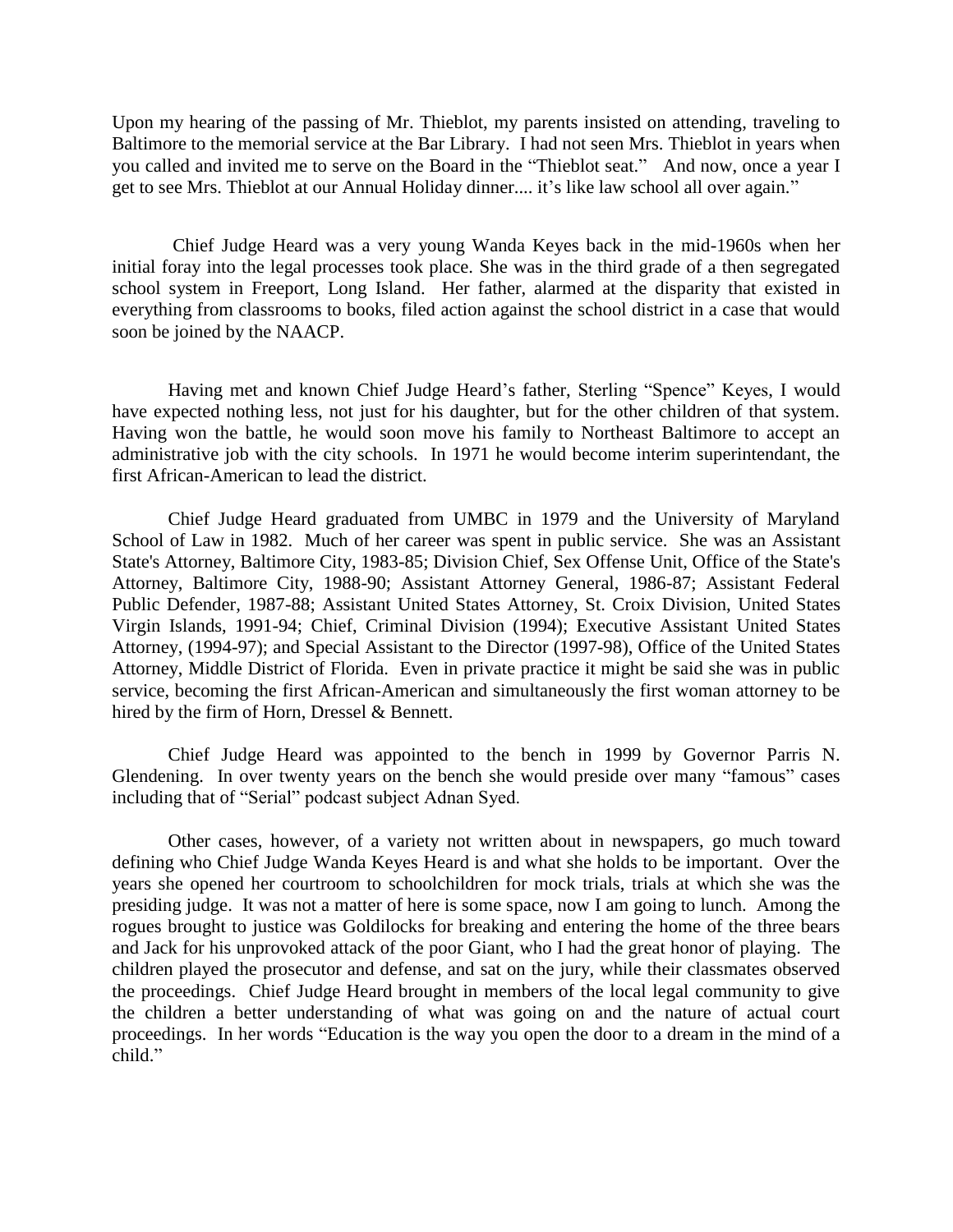Upon my hearing of the passing of Mr. Thieblot, my parents insisted on attending, traveling to Baltimore to the memorial service at the Bar Library. I had not seen Mrs. Thieblot in years when you called and invited me to serve on the Board in the "Thieblot seat." And now, once a year I get to see Mrs. Thieblot at our Annual Holiday dinner.... it's like law school all over again."

Chief Judge Heard was a very young Wanda Keyes back in the mid-1960s when her initial foray into the legal processes took place. She was in the third grade of a then segregated school system in Freeport, Long Island. Her father, alarmed at the disparity that existed in everything from classrooms to books, filed action against the school district in a case that would soon be joined by the NAACP.

Having met and known Chief Judge Heard's father, Sterling "Spence" Keyes, I would have expected nothing less, not just for his daughter, but for the other children of that system. Having won the battle, he would soon move his family to Northeast Baltimore to accept an administrative job with the city schools. In 1971 he would become interim superintendant, the first African-American to lead the district.

Chief Judge Heard graduated from UMBC in 1979 and the University of Maryland School of Law in 1982. Much of her career was spent in public service. She was an Assistant State's Attorney, Baltimore City, 1983-85; Division Chief, Sex Offense Unit, Office of the State's Attorney, Baltimore City, 1988-90; Assistant Attorney General, 1986-87; Assistant Federal Public Defender, 1987-88; Assistant United States Attorney, St. Croix Division, United States Virgin Islands, 1991-94; Chief, Criminal Division (1994); Executive Assistant United States Attorney, (1994-97); and Special Assistant to the Director (1997-98), Office of the United States Attorney, Middle District of Florida. Even in private practice it might be said she was in public service, becoming the first African-American and simultaneously the first woman attorney to be hired by the firm of Horn, Dressel & Bennett.

Chief Judge Heard was appointed to the bench in 1999 by Governor Parris N. Glendening. In over twenty years on the bench she would preside over many "famous" cases including that of "Serial" podcast subject Adnan Syed.

Other cases, however, of a variety not written about in newspapers, go much toward defining who Chief Judge Wanda Keyes Heard is and what she holds to be important. Over the years she opened her courtroom to schoolchildren for mock trials, trials at which she was the presiding judge. It was not a matter of here is some space, now I am going to lunch. Among the rogues brought to justice was Goldilocks for breaking and entering the home of the three bears and Jack for his unprovoked attack of the poor Giant, who I had the great honor of playing. The children played the prosecutor and defense, and sat on the jury, while their classmates observed the proceedings. Chief Judge Heard brought in members of the local legal community to give the children a better understanding of what was going on and the nature of actual court proceedings. In her words "Education is the way you open the door to a dream in the mind of a child."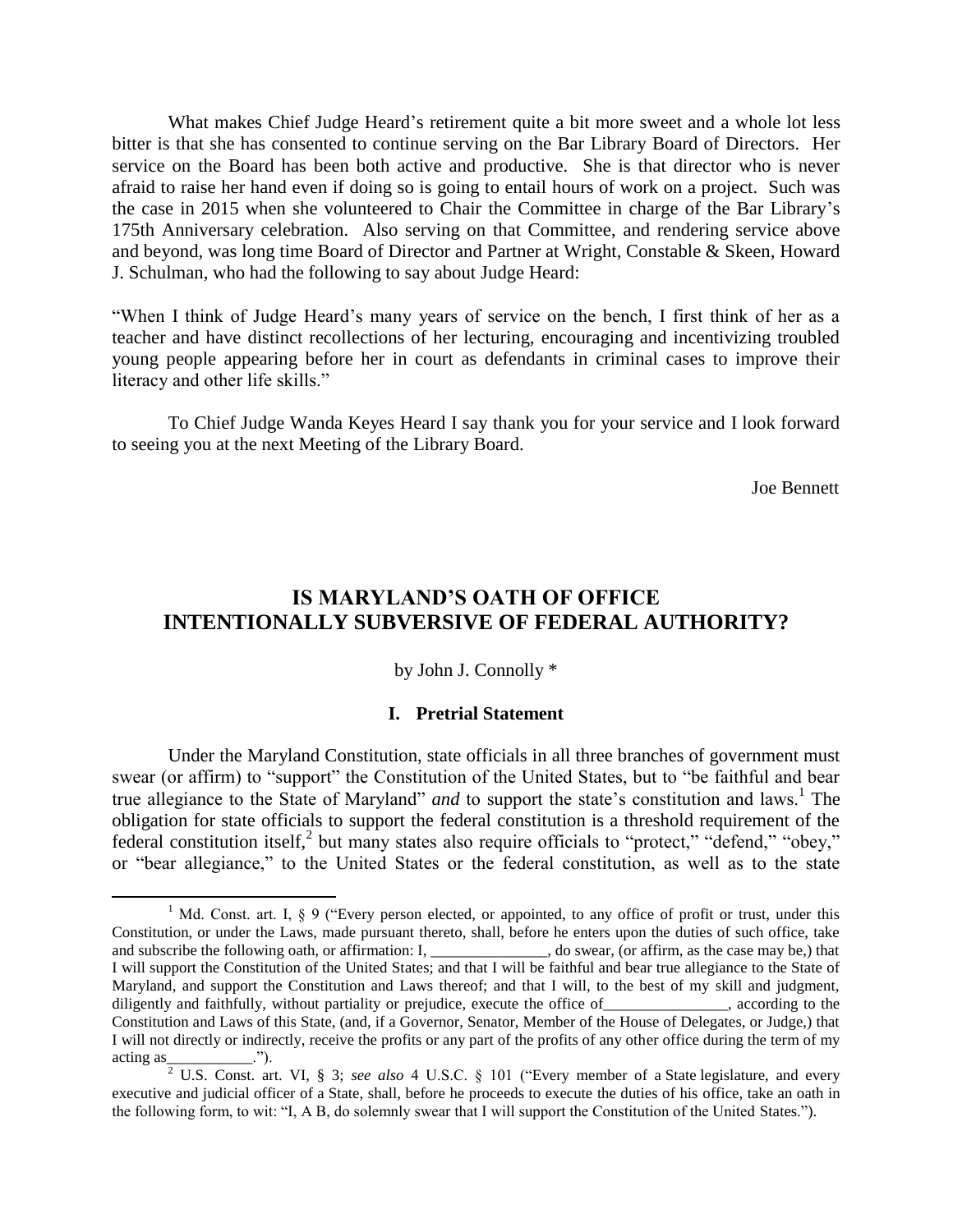What makes Chief Judge Heard's retirement quite a bit more sweet and a whole lot less bitter is that she has consented to continue serving on the Bar Library Board of Directors. Her service on the Board has been both active and productive. She is that director who is never afraid to raise her hand even if doing so is going to entail hours of work on a project. Such was the case in 2015 when she volunteered to Chair the Committee in charge of the Bar Library's 175th Anniversary celebration. Also serving on that Committee, and rendering service above and beyond, was long time Board of Director and Partner at Wright, Constable & Skeen, Howard J. Schulman, who had the following to say about Judge Heard:

"When I think of Judge Heard's many years of service on the bench, I first think of her as a teacher and have distinct recollections of her lecturing, encouraging and incentivizing troubled young people appearing before her in court as defendants in criminal cases to improve their literacy and other life skills."

To Chief Judge Wanda Keyes Heard I say thank you for your service and I look forward to seeing you at the next Meeting of the Library Board.

Joe Bennett

# **IS MARYLAND'S OATH OF OFFICE INTENTIONALLY SUBVERSIVE OF FEDERAL AUTHORITY?**

by John J. Connolly \*

### **I. Pretrial Statement**

Under the Maryland Constitution, state officials in all three branches of government must swear (or affirm) to "support" the Constitution of the United States, but to "be faithful and bear true allegiance to the State of Maryland" *and* to support the state's constitution and laws.<sup>1</sup> The obligation for state officials to support the federal constitution is a threshold requirement of the federal constitution itself,<sup>2</sup> but many states also require officials to "protect," "defend," "obey," or "bear allegiance," to the United States or the federal constitution, as well as to the state

<sup>&</sup>lt;sup>1</sup> Md. Const. art. I, § 9 ("Every person elected, or appointed, to any office of profit or trust, under this Constitution, or under the Laws, made pursuant thereto, shall, before he enters upon the duties of such office, take and subscribe the following oath, or affirmation: I, \_\_\_\_\_\_\_\_\_\_\_\_\_\_, do swear, (or affirm, as the case may be,) that I will support the Constitution of the United States; and that I will be faithful and bear true allegiance to the State of Maryland, and support the Constitution and Laws thereof; and that I will, to the best of my skill and judgment, diligently and faithfully, without partiality or prejudice, execute the office of succording to the diligently and faithfully, without partiality or prejudice, execute the office of Constitution and Laws of this State, (and, if a Governor, Senator, Member of the House of Delegates, or Judge,) that I will not directly or indirectly, receive the profits or any part of the profits of any other office during the term of my  $\arcting$  as \_\_\_\_\_\_\_\_\_\_\_\_.").

<sup>2</sup> U.S. Const. art. VI, § 3; *see also* 4 U.S.C. § 101 ("Every member of a State legislature, and every executive and judicial officer of a State, shall, before he proceeds to execute the duties of his office, take an oath in the following form, to wit: "I, A B, do solemnly swear that I will support the Constitution of the United States.").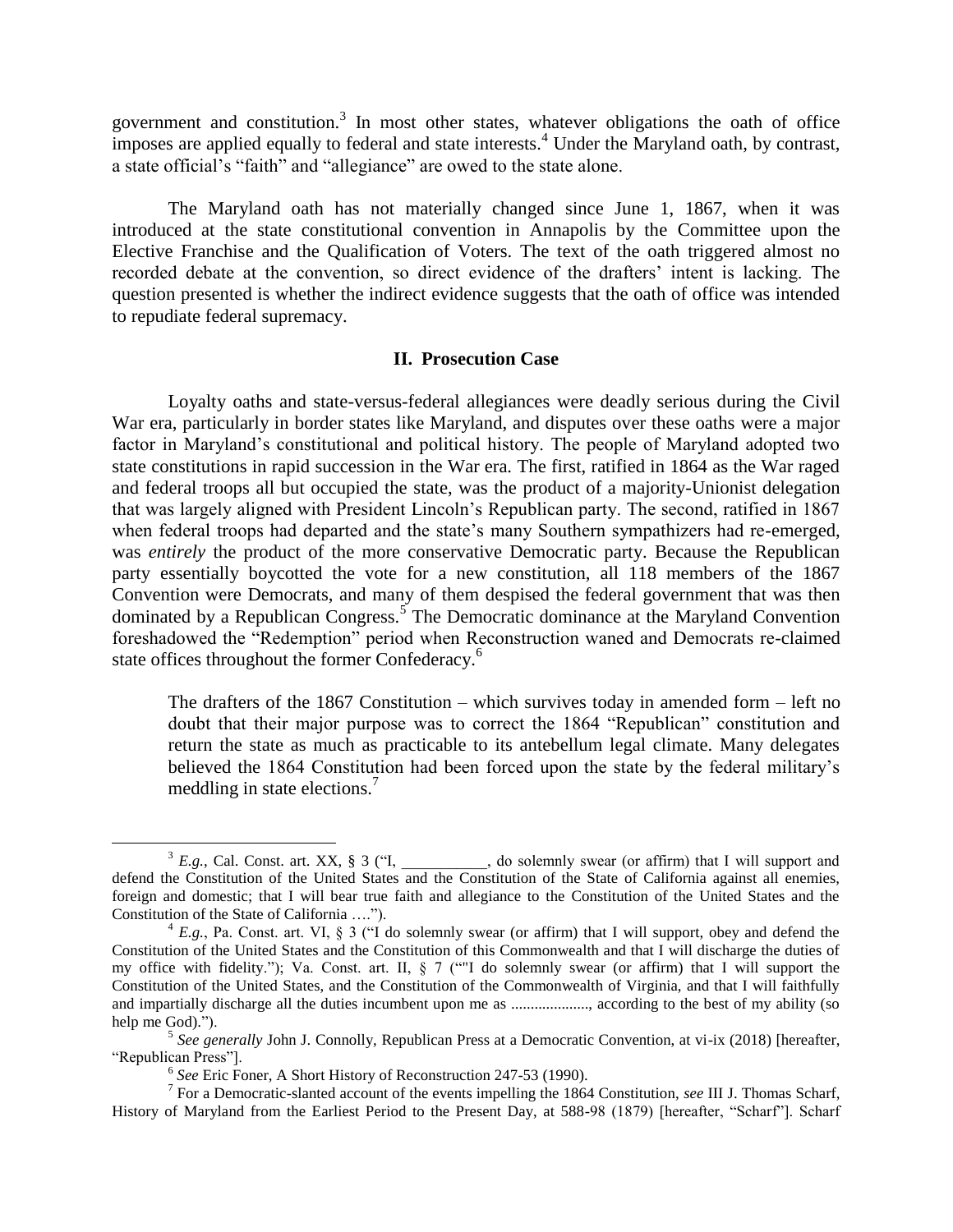government and constitution. $3$  In most other states, whatever obligations the oath of office imposes are applied equally to federal and state interests.<sup>4</sup> Under the Maryland oath, by contrast, a state official's "faith" and "allegiance" are owed to the state alone.

The Maryland oath has not materially changed since June 1, 1867, when it was introduced at the state constitutional convention in Annapolis by the Committee upon the Elective Franchise and the Qualification of Voters. The text of the oath triggered almost no recorded debate at the convention, so direct evidence of the drafters' intent is lacking. The question presented is whether the indirect evidence suggests that the oath of office was intended to repudiate federal supremacy.

## **II. Prosecution Case**

Loyalty oaths and state-versus-federal allegiances were deadly serious during the Civil War era, particularly in border states like Maryland, and disputes over these oaths were a major factor in Maryland's constitutional and political history. The people of Maryland adopted two state constitutions in rapid succession in the War era. The first, ratified in 1864 as the War raged and federal troops all but occupied the state, was the product of a majority-Unionist delegation that was largely aligned with President Lincoln's Republican party. The second, ratified in 1867 when federal troops had departed and the state's many Southern sympathizers had re-emerged, was *entirely* the product of the more conservative Democratic party. Because the Republican party essentially boycotted the vote for a new constitution, all 118 members of the 1867 Convention were Democrats, and many of them despised the federal government that was then dominated by a Republican Congress.<sup>5</sup> The Democratic dominance at the Maryland Convention foreshadowed the "Redemption" period when Reconstruction waned and Democrats re-claimed state offices throughout the former Confederacy.<sup>6</sup>

<span id="page-4-0"></span>The drafters of the 1867 Constitution – which survives today in amended form – left no doubt that their major purpose was to correct the 1864 "Republican" constitution and return the state as much as practicable to its antebellum legal climate. Many delegates believed the 1864 Constitution had been forced upon the state by the federal military's meddling in state elections.<sup>7</sup>

l

 $3 E.g.,$  Cal. Const. art. XX, § 3 ("I, \_\_\_\_\_\_\_\_\_, do solemnly swear (or affirm) that I will support and defend the Constitution of the United States and the Constitution of the State of California against all enemies, foreign and domestic; that I will bear true faith and allegiance to the Constitution of the United States and the Constitution of the State of California ….").

 $4 E.g.,$  Pa. Const. art. VI, § 3 ("I do solemnly swear (or affirm) that I will support, obey and defend the Constitution of the United States and the Constitution of this Commonwealth and that I will discharge the duties of my office with fidelity."); Va. Const. art. II, § 7 (""I do solemnly swear (or affirm) that I will support the Constitution of the United States, and the Constitution of the Commonwealth of Virginia, and that I will faithfully and impartially discharge all the duties incumbent upon me as ...................., according to the best of my ability (so help me God).").

<sup>&</sup>lt;sup>5</sup> See generally John J. Connolly, Republican Press at a Democratic Convention, at vi-ix (2018) [hereafter, "Republican Press"].

<sup>6</sup> *See* Eric Foner, A Short History of Reconstruction 247-53 (1990).

<sup>7</sup> For a Democratic-slanted account of the events impelling the 1864 Constitution, *see* III J. Thomas Scharf, History of Maryland from the Earliest Period to the Present Day, at 588-98 (1879) [hereafter, "Scharf"]. Scharf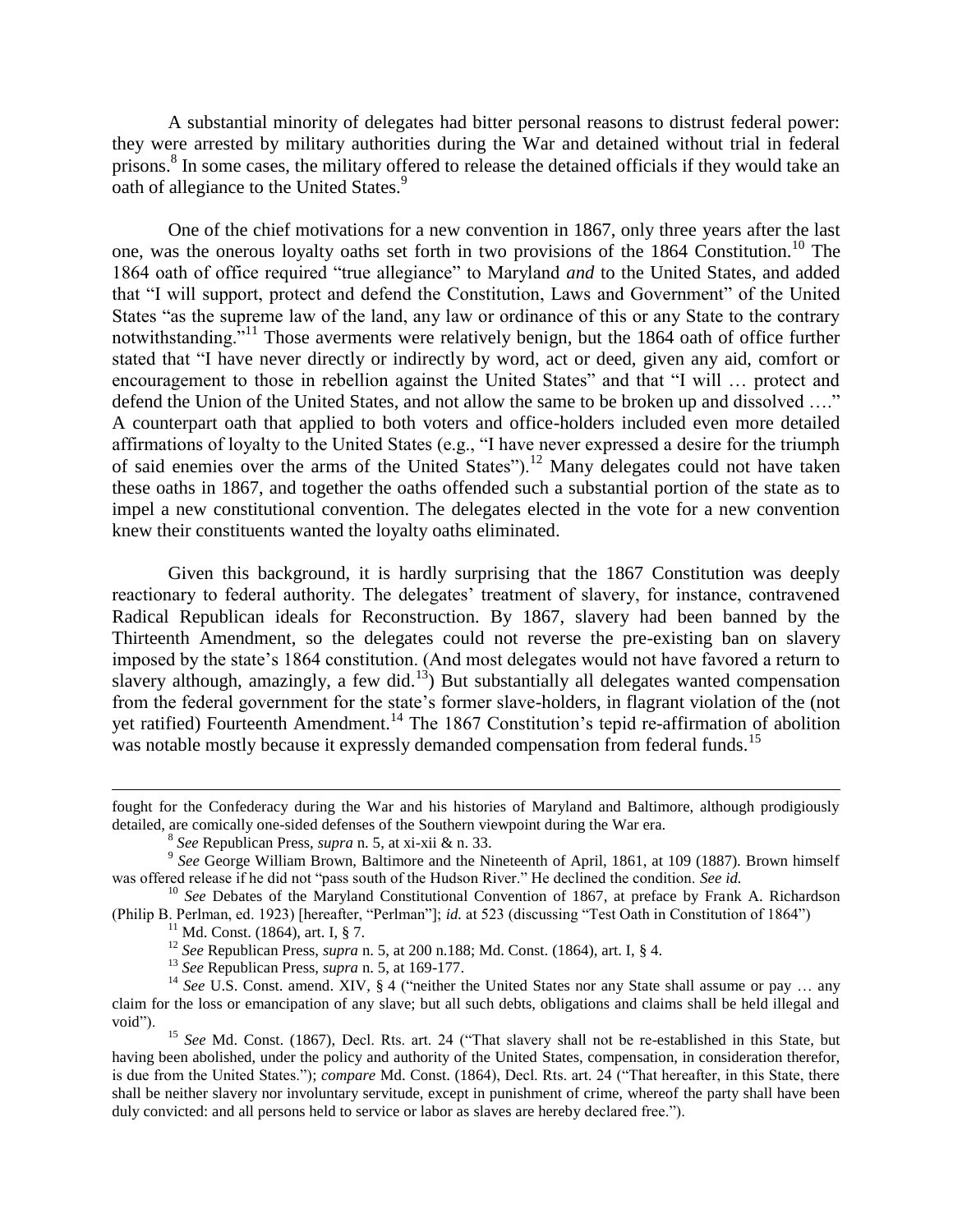A substantial minority of delegates had bitter personal reasons to distrust federal power: they were arrested by military authorities during the War and detained without trial in federal prisons.<sup>8</sup> In some cases, the military offered to release the detained officials if they would take an oath of allegiance to the United States.<sup>9</sup>

One of the chief motivations for a new convention in 1867, only three years after the last one, was the onerous loyalty oaths set forth in two provisions of the 1864 Constitution.<sup>10</sup> The 1864 oath of office required "true allegiance" to Maryland *and* to the United States, and added that "I will support, protect and defend the Constitution, Laws and Government" of the United States "as the supreme law of the land, any law or ordinance of this or any State to the contrary notwithstanding."<sup>11</sup> Those averments were relatively benign, but the 1864 oath of office further stated that "I have never directly or indirectly by word, act or deed, given any aid, comfort or encouragement to those in rebellion against the United States" and that "I will … protect and defend the Union of the United States, and not allow the same to be broken up and dissolved …." A counterpart oath that applied to both voters and office-holders included even more detailed affirmations of loyalty to the United States (e.g., "I have never expressed a desire for the triumph of said enemies over the arms of the United States").<sup>12</sup> Many delegates could not have taken these oaths in 1867, and together the oaths offended such a substantial portion of the state as to impel a new constitutional convention. The delegates elected in the vote for a new convention knew their constituents wanted the loyalty oaths eliminated.

Given this background, it is hardly surprising that the 1867 Constitution was deeply reactionary to federal authority. The delegates' treatment of slavery, for instance, contravened Radical Republican ideals for Reconstruction. By 1867, slavery had been banned by the Thirteenth Amendment, so the delegates could not reverse the pre-existing ban on slavery imposed by the state's 1864 constitution. (And most delegates would not have favored a return to slavery although, amazingly, a few did.<sup>13</sup>) But substantially all delegates wanted compensation from the federal government for the state's former slave-holders, in flagrant violation of the (not yet ratified) Fourteenth Amendment.<sup>14</sup> The 1867 Constitution's tepid re-affirmation of abolition was notable mostly because it expressly demanded compensation from federal funds.<sup>15</sup>

fought for the Confederacy during the War and his histories of Maryland and Baltimore, although prodigiously detailed, are comically one-sided defenses of the Southern viewpoint during the War era.

<sup>8</sup> *See* Republican Press, *supra* n[. 5,](#page-4-0) at xi-xii & n. 33.

<sup>&</sup>lt;sup>9</sup> See George William Brown, Baltimore and the Nineteenth of April, 1861, at 109 (1887). Brown himself was offered release if he did not "pass south of the Hudson River." He declined the condition. *See id.*

<sup>&</sup>lt;sup>10</sup> See Debates of the Maryland Constitutional Convention of 1867, at preface by Frank A. Richardson (Philip B. Perlman, ed. 1923) [hereafter, "Perlman"]; *id.* at 523 (discussing "Test Oath in Constitution of 1864")

 $11$  Md. Const. (1864), art. I, § 7.

<sup>12</sup> *See* Republican Press, *supra* n. [5,](#page-4-0) at 200 n.188; Md. Const. (1864), art. I, § 4.

<sup>13</sup> *See* Republican Press, *supra* n. [5,](#page-4-0) at 169-177.

<sup>&</sup>lt;sup>14</sup> See U.S. Const. amend. XIV, § 4 ("neither the United States nor any State shall assume or pay ... any claim for the loss or emancipation of any slave; but all such debts, obligations and claims shall be held illegal and void").

<sup>&</sup>lt;sup>15</sup> See Md. Const. (1867), Decl. Rts. art. 24 ("That slavery shall not be re-established in this State, but having been abolished, under the policy and authority of the United States, compensation, in consideration therefor, is due from the United States."); *compare* Md. Const. (1864), Decl. Rts. art. 24 ("That hereafter, in this State, there shall be neither slavery nor involuntary servitude, except in punishment of crime, whereof the party shall have been duly convicted: and all persons held to service or labor as slaves are hereby declared free.").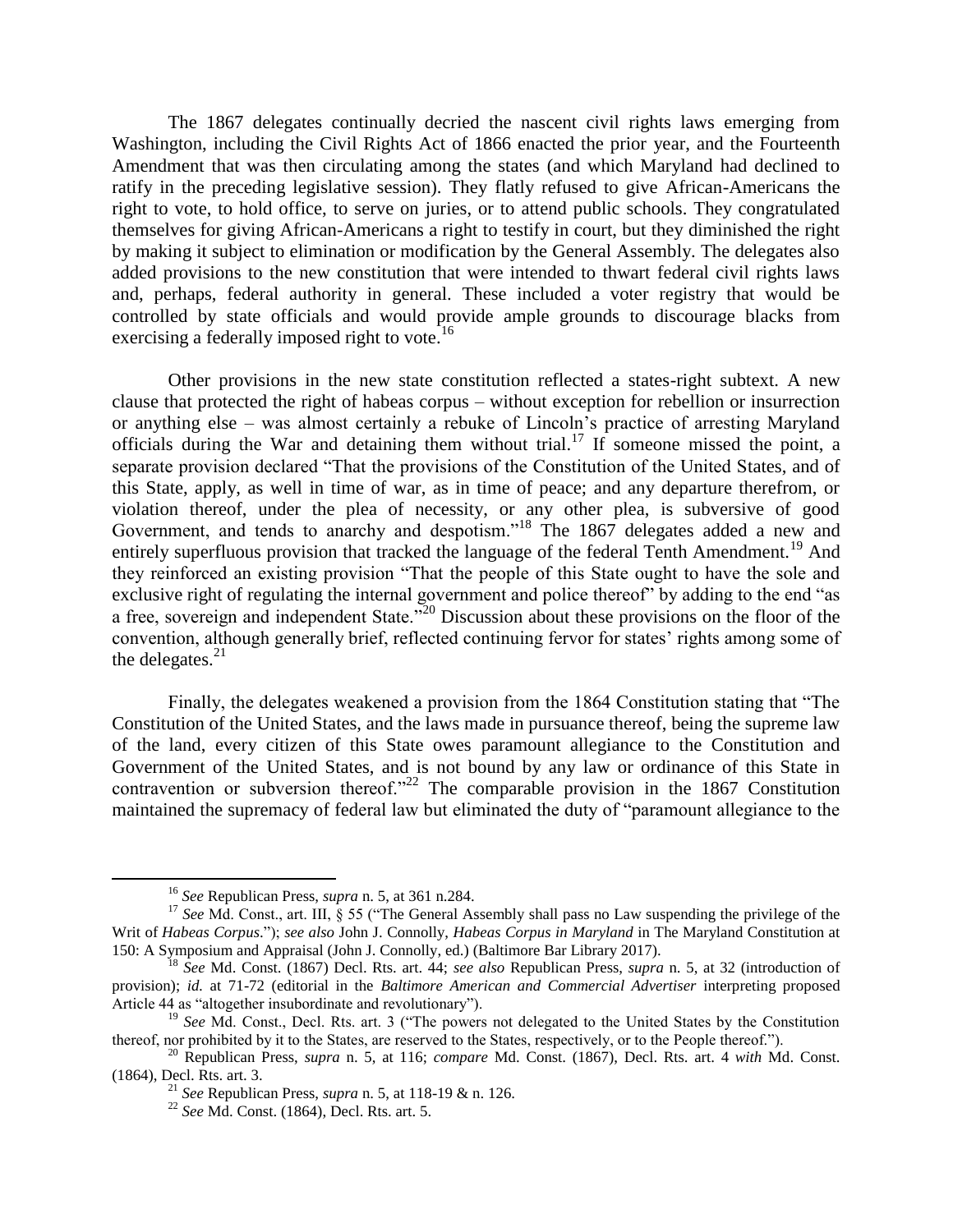The 1867 delegates continually decried the nascent civil rights laws emerging from Washington, including the Civil Rights Act of 1866 enacted the prior year, and the Fourteenth Amendment that was then circulating among the states (and which Maryland had declined to ratify in the preceding legislative session). They flatly refused to give African-Americans the right to vote, to hold office, to serve on juries, or to attend public schools. They congratulated themselves for giving African-Americans a right to testify in court, but they diminished the right by making it subject to elimination or modification by the General Assembly. The delegates also added provisions to the new constitution that were intended to thwart federal civil rights laws and, perhaps, federal authority in general. These included a voter registry that would be controlled by state officials and would provide ample grounds to discourage blacks from exercising a federally imposed right to vote.<sup>16</sup>

Other provisions in the new state constitution reflected a states-right subtext. A new clause that protected the right of habeas corpus – without exception for rebellion or insurrection or anything else – was almost certainly a rebuke of Lincoln's practice of arresting Maryland officials during the War and detaining them without trial.<sup>17</sup> If someone missed the point, a separate provision declared "That the provisions of the Constitution of the United States, and of this State, apply, as well in time of war, as in time of peace; and any departure therefrom, or violation thereof, under the plea of necessity, or any other plea, is subversive of good Government, and tends to anarchy and despotism."<sup>18</sup> The 1867 delegates added a new and entirely superfluous provision that tracked the language of the federal Tenth Amendment.<sup>19</sup> And they reinforced an existing provision "That the people of this State ought to have the sole and exclusive right of regulating the internal government and police thereof" by adding to the end "as a free, sovereign and independent State."<sup>20</sup> Discussion about these provisions on the floor of the convention, although generally brief, reflected continuing fervor for states' rights among some of the delegates. $21$ 

Finally, the delegates weakened a provision from the 1864 Constitution stating that "The Constitution of the United States, and the laws made in pursuance thereof, being the supreme law of the land, every citizen of this State owes paramount allegiance to the Constitution and Government of the United States, and is not bound by any law or ordinance of this State in contravention or subversion thereof. $22$  The comparable provision in the 1867 Constitution maintained the supremacy of federal law but eliminated the duty of "paramount allegiance to the

 $\overline{\phantom{a}}$ 

<sup>16</sup> *See* Republican Press, *supra* n. [5,](#page-4-0) at 361 n.284.

<sup>&</sup>lt;sup>17</sup> See Md. Const., art. III, § 55 ("The General Assembly shall pass no Law suspending the privilege of the Writ of *Habeas Corpus*."); *see also* John J. Connolly, *Habeas Corpus in Maryland* in The Maryland Constitution at 150: A Symposium and Appraisal (John J. Connolly, ed.) (Baltimore Bar Library 2017).

<sup>18</sup> *See* Md. Const. (1867) Decl. Rts. art. 44; *see also* Republican Press, *supra* n. [5,](#page-4-0) at 32 (introduction of provision); *id.* at 71-72 (editorial in the *Baltimore American and Commercial Advertiser* interpreting proposed Article 44 as "altogether insubordinate and revolutionary").

<sup>19</sup> *See* Md. Const., Decl. Rts. art. 3 ("The powers not delegated to the United States by the Constitution thereof, nor prohibited by it to the States, are reserved to the States, respectively, or to the People thereof.").

<sup>20</sup> Republican Press, *supra* n. [5,](#page-4-0) at 116; *compare* Md. Const. (1867), Decl. Rts. art. 4 *with* Md. Const. (1864), Decl. Rts. art. 3.

<sup>21</sup> *See* Republican Press, *supra* n. [5,](#page-4-0) at 118-19 & n. 126.

<sup>22</sup> *See* Md. Const. (1864), Decl. Rts. art. 5.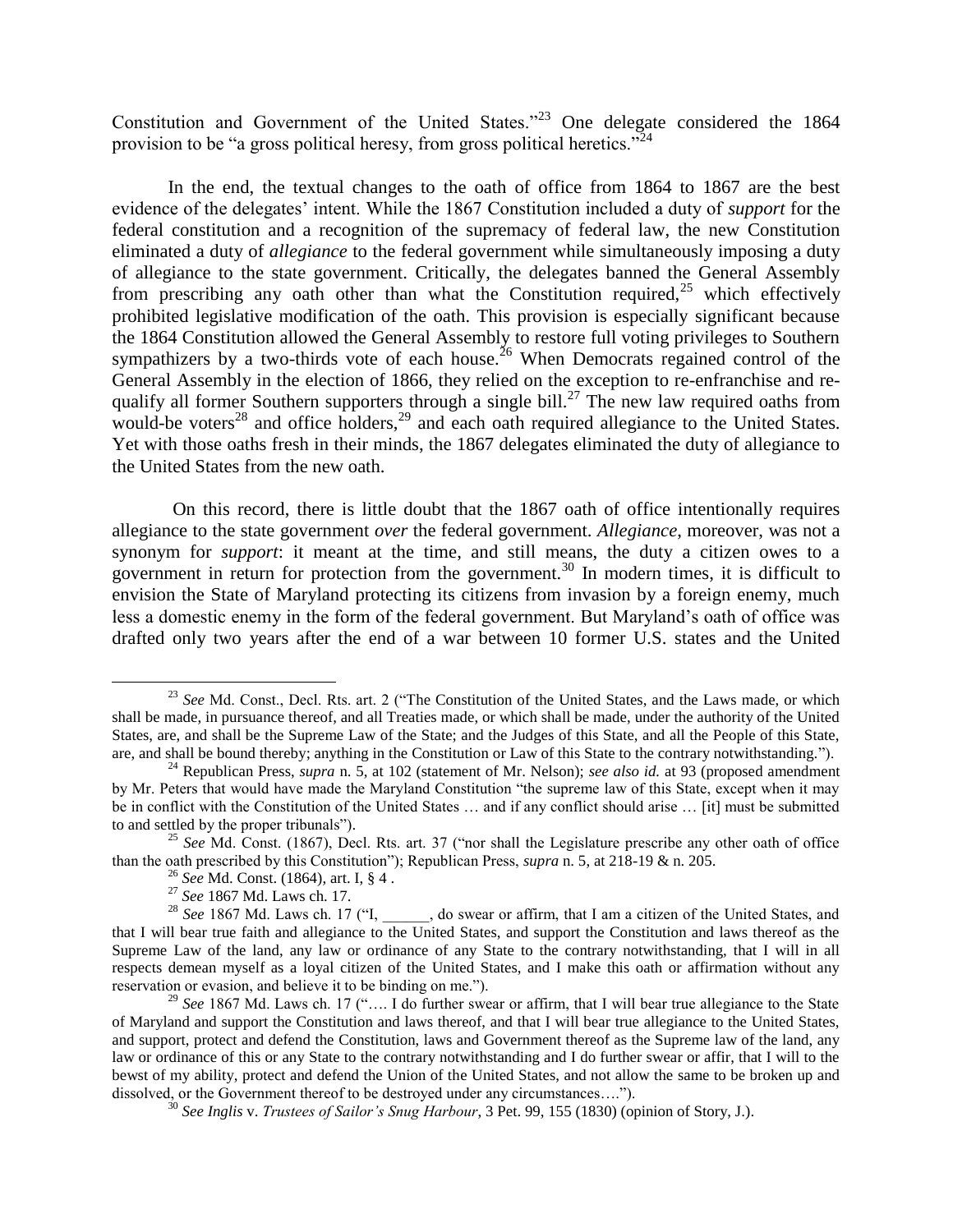Constitution and Government of the United States."<sup>23</sup> One delegate considered the 1864 provision to be "a gross political heresy, from gross political heretics."<sup>24</sup>

In the end, the textual changes to the oath of office from 1864 to 1867 are the best evidence of the delegates' intent. While the 1867 Constitution included a duty of *support* for the federal constitution and a recognition of the supremacy of federal law, the new Constitution eliminated a duty of *allegiance* to the federal government while simultaneously imposing a duty of allegiance to the state government. Critically, the delegates banned the General Assembly from prescribing any oath other than what the Constitution required,  $25$  which effectively prohibited legislative modification of the oath. This provision is especially significant because the 1864 Constitution allowed the General Assembly to restore full voting privileges to Southern sympathizers by a two-thirds vote of each house.<sup>26</sup> When Democrats regained control of the General Assembly in the election of 1866, they relied on the exception to re-enfranchise and requalify all former Southern supporters through a single bill.<sup>27</sup> The new law required oaths from would-be voters<sup>28</sup> and office holders,<sup>29</sup> and each oath required allegiance to the United States. Yet with those oaths fresh in their minds, the 1867 delegates eliminated the duty of allegiance to the United States from the new oath.

On this record, there is little doubt that the 1867 oath of office intentionally requires allegiance to the state government *over* the federal government. *Allegiance*, moreover, was not a synonym for *support*: it meant at the time, and still means, the duty a citizen owes to a government in return for protection from the government.<sup>30</sup> In modern times, it is difficult to envision the State of Maryland protecting its citizens from invasion by a foreign enemy, much less a domestic enemy in the form of the federal government. But Maryland's oath of office was drafted only two years after the end of a war between 10 former U.S. states and the United

<sup>&</sup>lt;sup>23</sup> See Md. Const., Decl. Rts. art. 2 ("The Constitution of the United States, and the Laws made, or which shall be made, in pursuance thereof, and all Treaties made, or which shall be made, under the authority of the United States, are, and shall be the Supreme Law of the State; and the Judges of this State, and all the People of this State, are, and shall be bound thereby; anything in the Constitution or Law of this State to the contrary notwithstanding.").

<sup>24</sup> Republican Press, *supra* n. [5,](#page-4-0) at 102 (statement of Mr. Nelson); *see also id.* at 93 (proposed amendment by Mr. Peters that would have made the Maryland Constitution "the supreme law of this State, except when it may be in conflict with the Constitution of the United States … and if any conflict should arise … [it] must be submitted to and settled by the proper tribunals").

<sup>25</sup> *See* Md. Const. (1867), Decl. Rts. art. 37 ("nor shall the Legislature prescribe any other oath of office than the oath prescribed by this Constitution"); Republican Press, *supra* n[. 5,](#page-4-0) at 218-19 & n. 205.

<sup>26</sup> *See* Md. Const. (1864), art. I, § 4 .

<sup>27</sup> *See* 1867 Md. Laws ch. 17.

<sup>&</sup>lt;sup>28</sup> *See* 1867 Md. Laws ch. 17 ("I, \_\_\_\_, do swear or affirm, that I am a citizen of the United States, and that I will bear true faith and allegiance to the United States, and support the Constitution and laws thereof as the Supreme Law of the land, any law or ordinance of any State to the contrary notwithstanding, that I will in all respects demean myself as a loyal citizen of the United States, and I make this oath or affirmation without any reservation or evasion, and believe it to be binding on me.").

<sup>&</sup>lt;sup>29</sup> See 1867 Md. Laws ch. 17 (".... I do further swear or affirm, that I will bear true allegiance to the State of Maryland and support the Constitution and laws thereof, and that I will bear true allegiance to the United States, and support, protect and defend the Constitution, laws and Government thereof as the Supreme law of the land, any law or ordinance of this or any State to the contrary notwithstanding and I do further swear or affir, that I will to the bewst of my ability, protect and defend the Union of the United States, and not allow the same to be broken up and dissolved, or the Government thereof to be destroyed under any circumstances….").

<sup>30</sup> *See Inglis* v. *Trustees of Sailor's Snug Harbour*, 3 Pet. 99, 155 (1830) (opinion of Story, J.).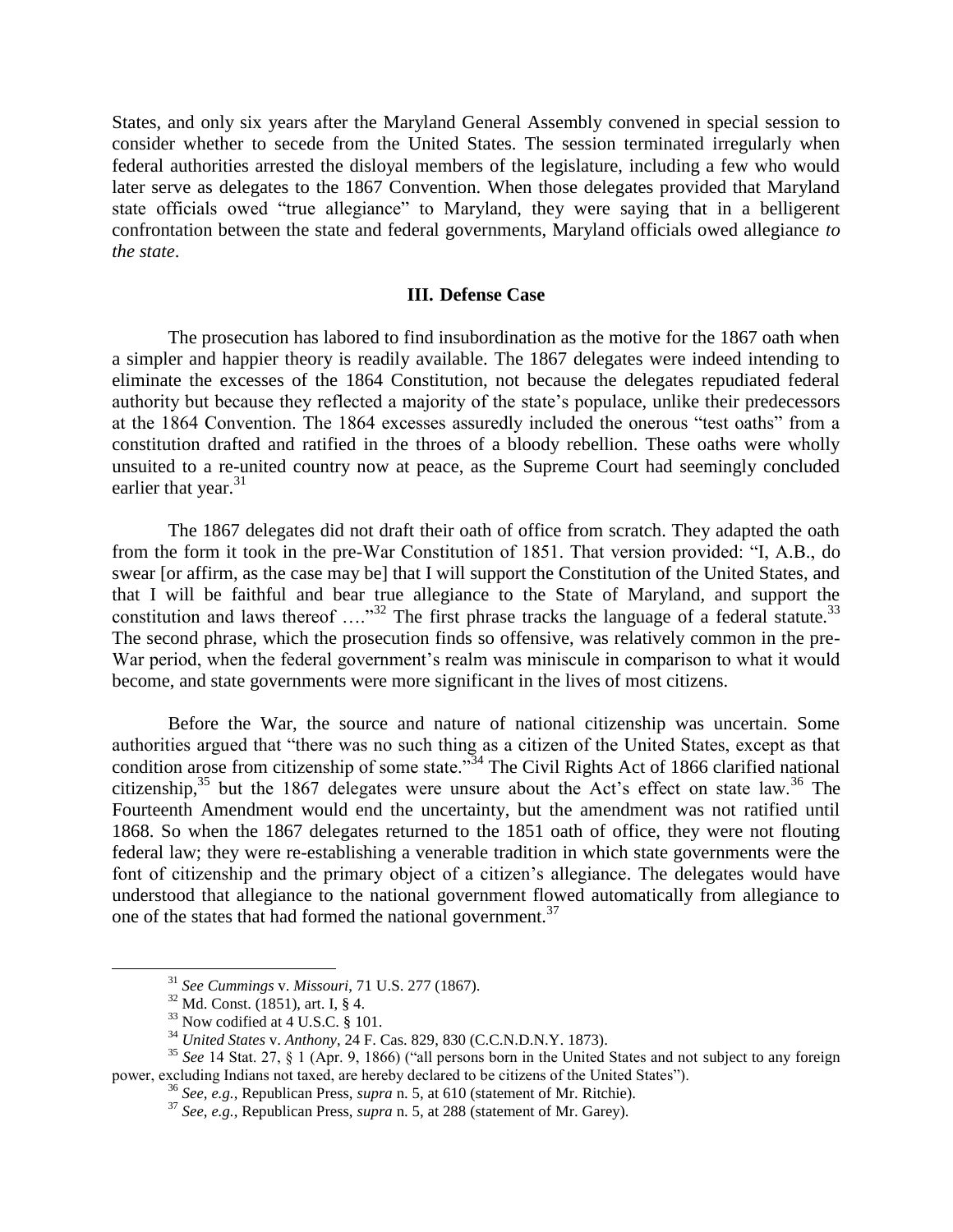States, and only six years after the Maryland General Assembly convened in special session to consider whether to secede from the United States. The session terminated irregularly when federal authorities arrested the disloyal members of the legislature, including a few who would later serve as delegates to the 1867 Convention. When those delegates provided that Maryland state officials owed "true allegiance" to Maryland, they were saying that in a belligerent confrontation between the state and federal governments, Maryland officials owed allegiance *to the state*.

#### **III. Defense Case**

The prosecution has labored to find insubordination as the motive for the 1867 oath when a simpler and happier theory is readily available. The 1867 delegates were indeed intending to eliminate the excesses of the 1864 Constitution, not because the delegates repudiated federal authority but because they reflected a majority of the state's populace, unlike their predecessors at the 1864 Convention. The 1864 excesses assuredly included the onerous "test oaths" from a constitution drafted and ratified in the throes of a bloody rebellion. These oaths were wholly unsuited to a re-united country now at peace, as the Supreme Court had seemingly concluded earlier that year. $31$ 

The 1867 delegates did not draft their oath of office from scratch. They adapted the oath from the form it took in the pre-War Constitution of 1851. That version provided: "I, A.B., do swear [or affirm, as the case may be] that I will support the Constitution of the United States, and that I will be faithful and bear true allegiance to the State of Maryland, and support the constitution and laws thereof  $\ldots$ <sup>32</sup> The first phrase tracks the language of a federal statute.<sup>33</sup> The second phrase, which the prosecution finds so offensive, was relatively common in the pre-War period, when the federal government's realm was miniscule in comparison to what it would become, and state governments were more significant in the lives of most citizens.

Before the War, the source and nature of national citizenship was uncertain. Some authorities argued that "there was no such thing as a citizen of the United States, except as that condition arose from citizenship of some state."<sup>34</sup> The Civil Rights Act of 1866 clarified national citizenship,<sup>35</sup> but the 1867 delegates were unsure about the Act's effect on state law.<sup>36</sup> The Fourteenth Amendment would end the uncertainty, but the amendment was not ratified until 1868. So when the 1867 delegates returned to the 1851 oath of office, they were not flouting federal law; they were re-establishing a venerable tradition in which state governments were the font of citizenship and the primary object of a citizen's allegiance. The delegates would have understood that allegiance to the national government flowed automatically from allegiance to one of the states that had formed the national government.<sup>37</sup>

<sup>31</sup> *See Cummings* v. *Missouri*, 71 U.S. 277 (1867).

 $32$  Md. Const. (1851), art. I, § 4.

 $33$  Now codified at  $4$  U.S.C. § 101.

<sup>34</sup> *United States* v. *Anthony*, 24 F. Cas. 829, 830 (C.C.N.D.N.Y. 1873).

<sup>35</sup> *See* 14 Stat. 27, § 1 (Apr. 9, 1866) ("all persons born in the United States and not subject to any foreign power, excluding Indians not taxed, are hereby declared to be citizens of the United States").

<sup>36</sup> *See*, *e.g.*, Republican Press, *supra* n[. 5,](#page-4-0) at 610 (statement of Mr. Ritchie).

<sup>37</sup> *See*, *e.g.*, Republican Press, *supra* n[. 5,](#page-4-0) at 288 (statement of Mr. Garey).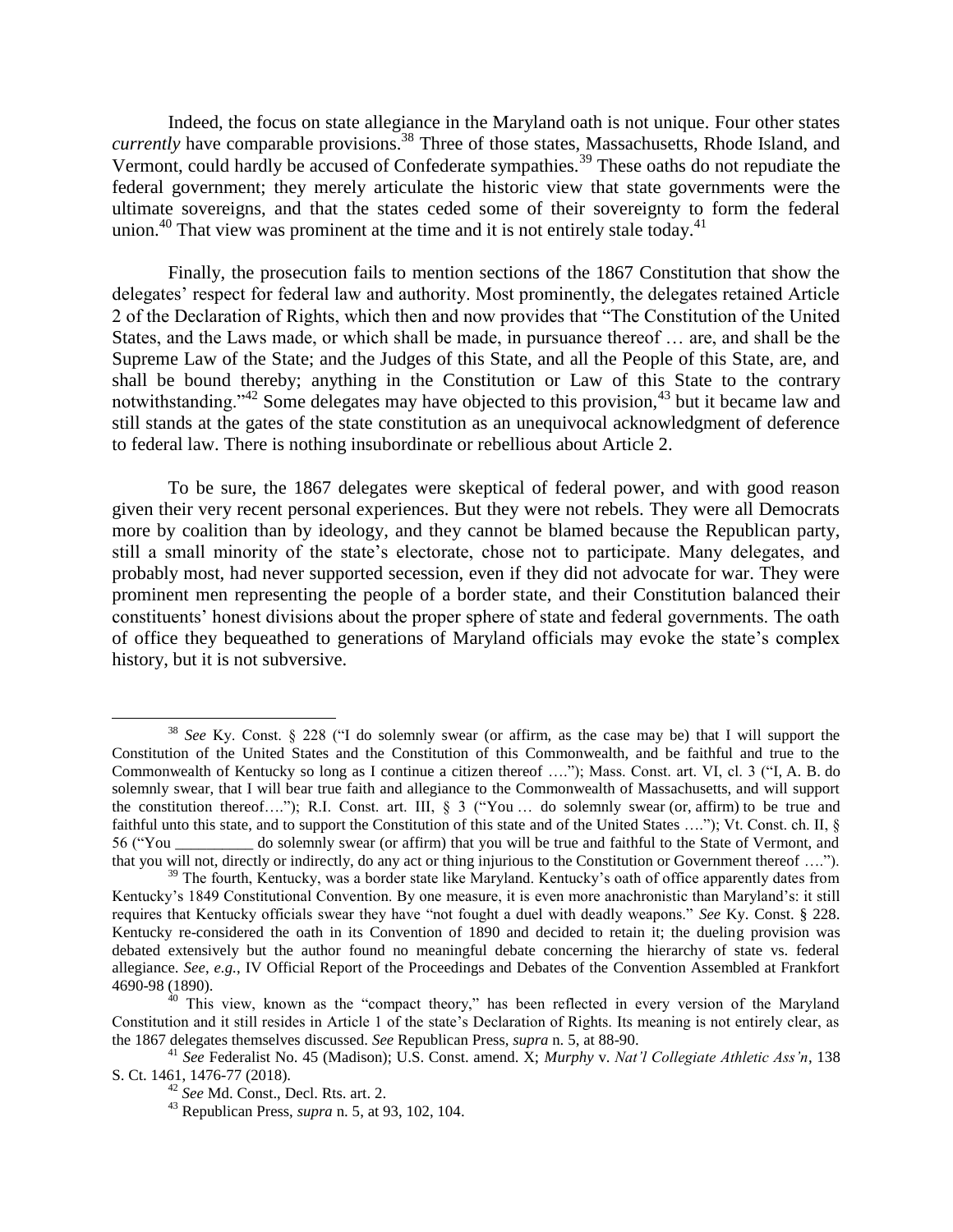Indeed, the focus on state allegiance in the Maryland oath is not unique. Four other states *currently* have comparable provisions.<sup>38</sup> Three of those states, Massachusetts, Rhode Island, and Vermont, could hardly be accused of Confederate sympathies.<sup>39</sup> These oaths do not repudiate the federal government; they merely articulate the historic view that state governments were the ultimate sovereigns, and that the states ceded some of their sovereignty to form the federal union.<sup>40</sup> That view was prominent at the time and it is not entirely stale today.<sup>41</sup>

Finally, the prosecution fails to mention sections of the 1867 Constitution that show the delegates' respect for federal law and authority. Most prominently, the delegates retained Article 2 of the Declaration of Rights, which then and now provides that "The Constitution of the United States, and the Laws made, or which shall be made, in pursuance thereof … are, and shall be the Supreme Law of the State; and the Judges of this State, and all the People of this State, are, and shall be bound thereby; anything in the Constitution or Law of this State to the contrary notwithstanding."<sup>42</sup> Some delegates may have objected to this provision,<sup>43</sup> but it became law and still stands at the gates of the state constitution as an unequivocal acknowledgment of deference to federal law. There is nothing insubordinate or rebellious about Article 2.

To be sure, the 1867 delegates were skeptical of federal power, and with good reason given their very recent personal experiences. But they were not rebels. They were all Democrats more by coalition than by ideology, and they cannot be blamed because the Republican party, still a small minority of the state's electorate, chose not to participate. Many delegates, and probably most, had never supported secession, even if they did not advocate for war. They were prominent men representing the people of a border state, and their Constitution balanced their constituents' honest divisions about the proper sphere of state and federal governments. The oath of office they bequeathed to generations of Maryland officials may evoke the state's complex history, but it is not subversive.

 $\overline{\phantom{a}}$ 

<sup>38</sup> *See* Ky. Const. § 228 ("I do solemnly swear (or affirm, as the case may be) that I will support the Constitution of the United States and the Constitution of this Commonwealth, and be faithful and true to the Commonwealth of Kentucky so long as I continue a citizen thereof …."); Mass. Const. art. VI, cl. 3 ("I, A. B. do solemnly swear, that I will bear true faith and allegiance to the Commonwealth of Massachusetts, and will support the constitution thereof…."); R.I. Const. art. III, § 3 ("You … do solemnly swear (or, affirm) to be true and faithful unto this state, and to support the Constitution of this state and of the United States …."); Vt. Const. ch. II, § 56 ("You \_\_\_\_\_\_\_\_\_\_ do solemnly swear (or affirm) that you will be true and faithful to the State of Vermont, and that you will not, directly or indirectly, do any act or thing injurious to the Constitution or Government thereof ….").

<sup>&</sup>lt;sup>39</sup> The fourth, Kentucky, was a border state like Maryland. Kentucky's oath of office apparently dates from Kentucky's 1849 Constitutional Convention. By one measure, it is even more anachronistic than Maryland's: it still requires that Kentucky officials swear they have "not fought a duel with deadly weapons." *See* Ky. Const. § 228. Kentucky re-considered the oath in its Convention of 1890 and decided to retain it; the dueling provision was debated extensively but the author found no meaningful debate concerning the hierarchy of state vs. federal allegiance. *See*, *e.g.*, IV Official Report of the Proceedings and Debates of the Convention Assembled at Frankfort 4690-98 (1890).

<sup>&</sup>lt;sup>40</sup> This view, known as the "compact theory," has been reflected in every version of the Maryland Constitution and it still resides in Article 1 of the state's Declaration of Rights. Its meaning is not entirely clear, as the 1867 delegates themselves discussed. *See* Republican Press, *supra* n. [5,](#page-4-0) at 88-90.

<sup>41</sup> *See* Federalist No. 45 (Madison); U.S. Const. amend. X; *Murphy* v. *Nat'l Collegiate Athletic Ass'n*, 138 S. Ct. 1461, 1476-77 (2018).

<sup>42</sup> *See* Md. Const., Decl. Rts. art. 2.

<sup>43</sup> Republican Press, *supra* n. [5,](#page-4-0) at 93, 102, 104.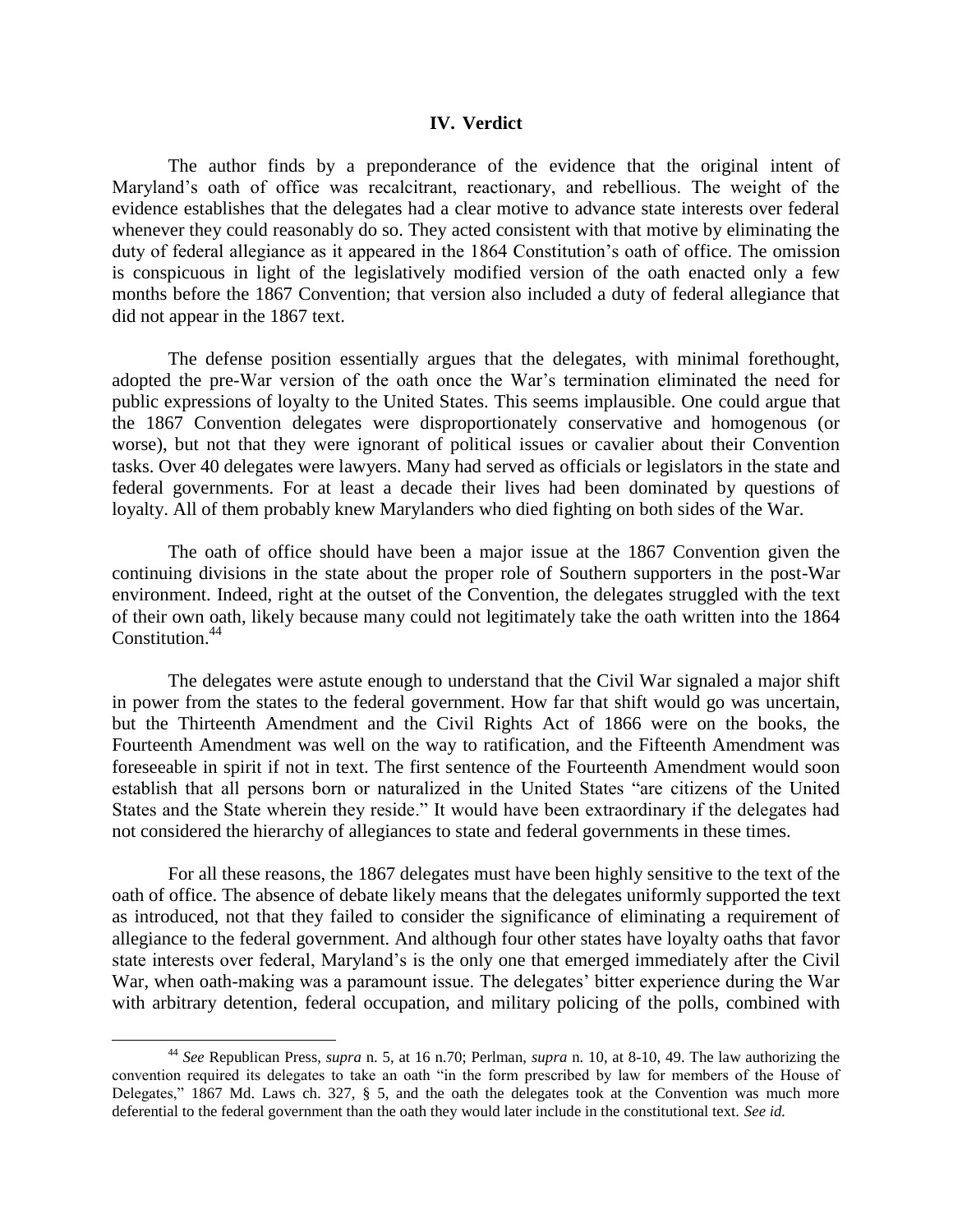#### **IV. Verdict**

The author finds by a preponderance of the evidence that the original intent of Maryland's oath of office was recalcitrant, reactionary, and rebellious. The weight of the evidence establishes that the delegates had a clear motive to advance state interests over federal whenever they could reasonably do so. They acted consistent with that motive by eliminating the duty of federal allegiance as it appeared in the 1864 Constitution's oath of office. The omission is conspicuous in light of the legislatively modified version of the oath enacted only a few months before the 1867 Convention; that version also included a duty of federal allegiance that did not appear in the 1867 text.

The defense position essentially argues that the delegates, with minimal forethought, adopted the pre-War version of the oath once the War's termination eliminated the need for public expressions of loyalty to the United States. This seems implausible. One could argue that the 1867 Convention delegates were disproportionately conservative and homogenous (or worse), but not that they were ignorant of political issues or cavalier about their Convention tasks. Over 40 delegates were lawyers. Many had served as officials or legislators in the state and federal governments. For at least a decade their lives had been dominated by questions of loyalty. All of them probably knew Marylanders who died fighting on both sides of the War.

The oath of office should have been a major issue at the 1867 Convention given the continuing divisions in the state about the proper role of Southern supporters in the post-War environment. Indeed, right at the outset of the Convention, the delegates struggled with the text of their own oath, likely because many could not legitimately take the oath written into the 1864 Constitution.<sup>44</sup>

The delegates were astute enough to understand that the Civil War signaled a major shift in power from the states to the federal government. How far that shift would go was uncertain, but the Thirteenth Amendment and the Civil Rights Act of 1866 were on the books, the Fourteenth Amendment was well on the way to ratification, and the Fifteenth Amendment was foreseeable in spirit if not in text. The first sentence of the Fourteenth Amendment would soon establish that all persons born or naturalized in the United States "are citizens of the United States and the State wherein they reside." It would have been extraordinary if the delegates had not considered the hierarchy of allegiances to state and federal governments in these times.

For all these reasons, the 1867 delegates must have been highly sensitive to the text of the oath of office. The absence of debate likely means that the delegates uniformly supported the text as introduced, not that they failed to consider the significance of eliminating a requirement of allegiance to the federal government. And although four other states have loyalty oaths that favor state interests over federal, Maryland's is the only one that emerged immediately after the Civil War, when oath-making was a paramount issue. The delegates' bitter experience during the War with arbitrary detention, federal occupation, and military policing of the polls, combined with

 $\overline{\phantom{a}}$ 

<sup>44</sup> *See* Republican Press, *supra* n. [5,](#page-4-0) at 16 n.70; Perlman, *supra* n. 10, at 8-10, 49. The law authorizing the convention required its delegates to take an oath "in the form prescribed by law for members of the House of Delegates," 1867 Md. Laws ch. 327, § 5, and the oath the delegates took at the Convention was much more deferential to the federal government than the oath they would later include in the constitutional text. *See id.*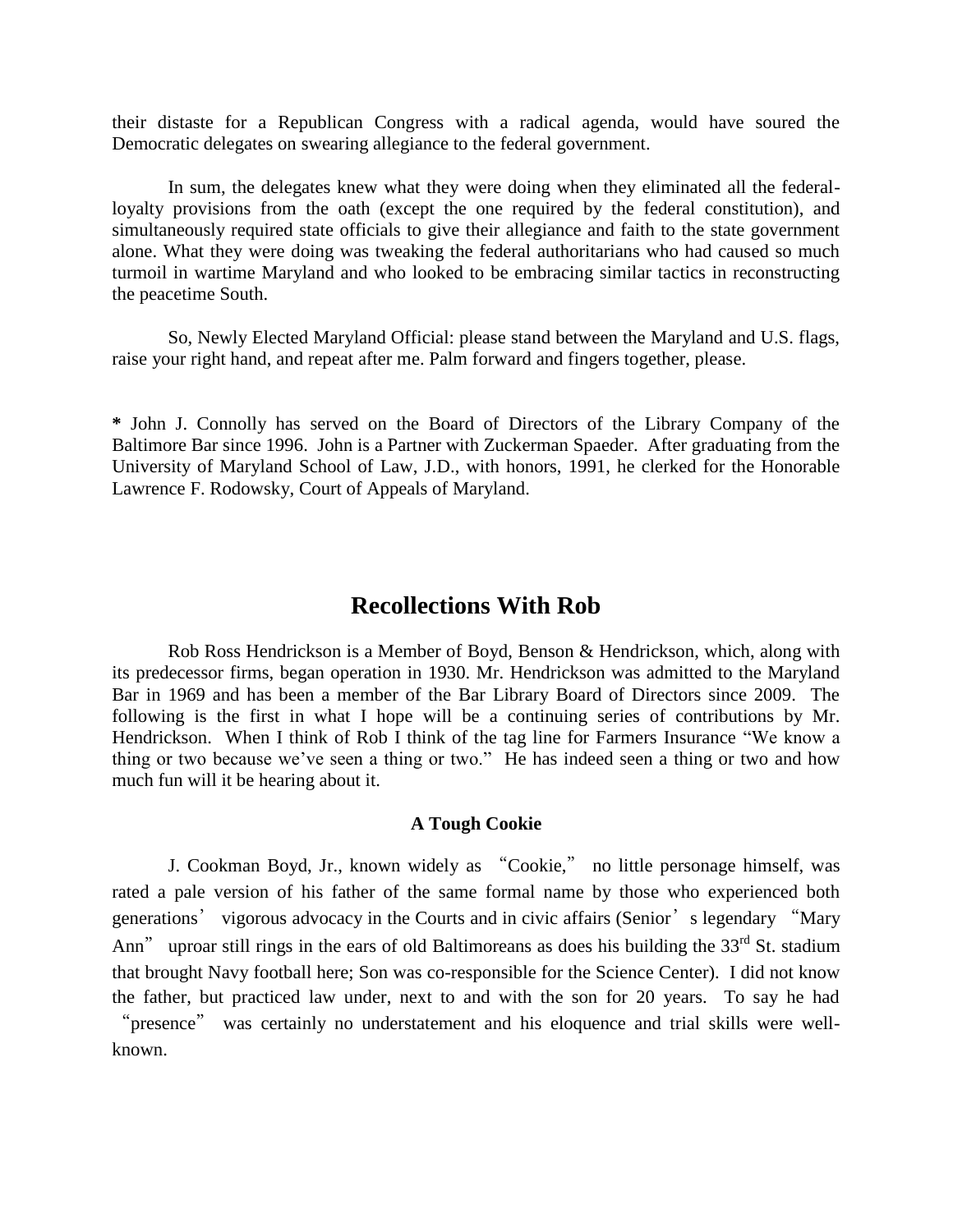their distaste for a Republican Congress with a radical agenda, would have soured the Democratic delegates on swearing allegiance to the federal government.

In sum, the delegates knew what they were doing when they eliminated all the federalloyalty provisions from the oath (except the one required by the federal constitution), and simultaneously required state officials to give their allegiance and faith to the state government alone. What they were doing was tweaking the federal authoritarians who had caused so much turmoil in wartime Maryland and who looked to be embracing similar tactics in reconstructing the peacetime South.

So, Newly Elected Maryland Official: please stand between the Maryland and U.S. flags, raise your right hand, and repeat after me. Palm forward and fingers together, please.

**\*** John J. Connolly has served on the Board of Directors of the Library Company of the Baltimore Bar since 1996. John is a Partner with Zuckerman Spaeder. After graduating from the University of Maryland School of Law, J.D., with honors, 1991, he clerked for the Honorable Lawrence F. Rodowsky, Court of Appeals of Maryland.

## **Recollections With Rob**

Rob Ross Hendrickson is a Member of Boyd, Benson & Hendrickson, which, along with its predecessor firms, began operation in 1930. Mr. Hendrickson was admitted to the Maryland Bar in 1969 and has been a member of the Bar Library Board of Directors since 2009. The following is the first in what I hope will be a continuing series of contributions by Mr. Hendrickson. When I think of Rob I think of the tag line for Farmers Insurance "We know a thing or two because we've seen a thing or two." He has indeed seen a thing or two and how much fun will it be hearing about it.

## **A Tough Cookie**

J. Cookman Boyd, Jr., known widely as "Cookie," no little personage himself, was rated a pale version of his father of the same formal name by those who experienced both generations' vigorous advocacy in the Courts and in civic affairs (Senior's legendary "Mary Ann" uproar still rings in the ears of old Baltimoreans as does his building the  $33<sup>rd</sup>$  St. stadium that brought Navy football here; Son was co-responsible for the Science Center). I did not know the father, but practiced law under, next to and with the son for 20 years. To say he had "presence" was certainly no understatement and his eloquence and trial skills were wellknown.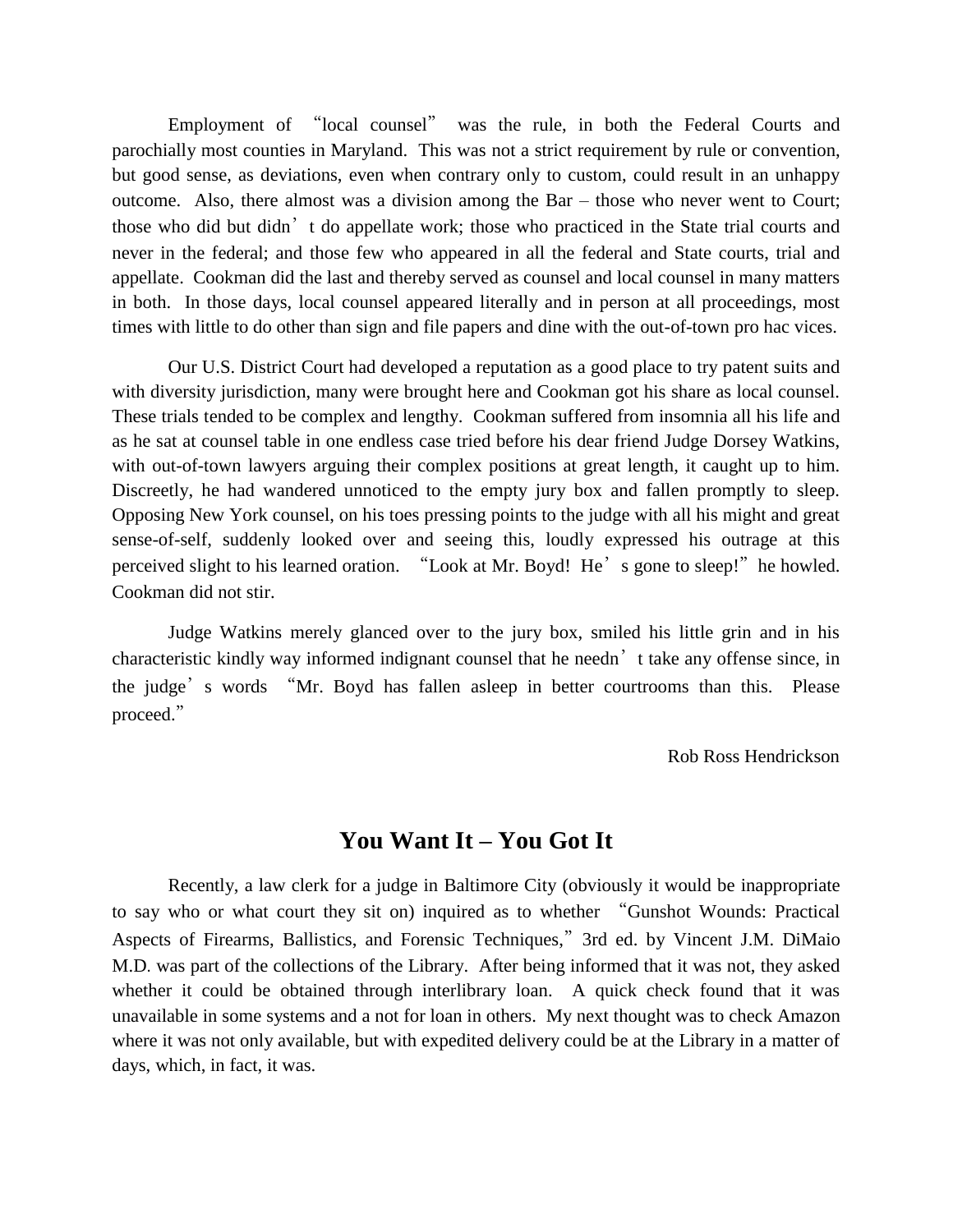Employment of "local counsel" was the rule, in both the Federal Courts and parochially most counties in Maryland. This was not a strict requirement by rule or convention, but good sense, as deviations, even when contrary only to custom, could result in an unhappy outcome. Also, there almost was a division among the Bar – those who never went to Court; those who did but didn't do appellate work; those who practiced in the State trial courts and never in the federal; and those few who appeared in all the federal and State courts, trial and appellate. Cookman did the last and thereby served as counsel and local counsel in many matters in both. In those days, local counsel appeared literally and in person at all proceedings, most times with little to do other than sign and file papers and dine with the out-of-town pro hac vices.

Our U.S. District Court had developed a reputation as a good place to try patent suits and with diversity jurisdiction, many were brought here and Cookman got his share as local counsel. These trials tended to be complex and lengthy. Cookman suffered from insomnia all his life and as he sat at counsel table in one endless case tried before his dear friend Judge Dorsey Watkins, with out-of-town lawyers arguing their complex positions at great length, it caught up to him. Discreetly, he had wandered unnoticed to the empty jury box and fallen promptly to sleep. Opposing New York counsel, on his toes pressing points to the judge with all his might and great sense-of-self, suddenly looked over and seeing this, loudly expressed his outrage at this perceived slight to his learned oration. "Look at Mr. Boyd! He's gone to sleep!" he howled. Cookman did not stir.

Judge Watkins merely glanced over to the jury box, smiled his little grin and in his characteristic kindly way informed indignant counsel that he needn't take any offense since, in the judge's words "Mr. Boyd has fallen asleep in better courtrooms than this. Please proceed."

Rob Ross Hendrickson

# **You Want It – You Got It**

Recently, a law clerk for a judge in Baltimore City (obviously it would be inappropriate to say who or what court they sit on) inquired as to whether "Gunshot Wounds: Practical Aspects of Firearms, Ballistics, and Forensic Techniques,"3rd ed. by [Vincent J.M. DiMaio](https://www.amazon.com/s/ref=dp_byline_sr_book_1?ie=UTF8&field-author=Vincent+J.M.+DiMaio++M.D.&text=Vincent+J.M.+DiMaio++M.D.&sort=relevancerank&search-alias=books)  [M.D](https://www.amazon.com/s/ref=dp_byline_sr_book_1?ie=UTF8&field-author=Vincent+J.M.+DiMaio++M.D.&text=Vincent+J.M.+DiMaio++M.D.&sort=relevancerank&search-alias=books). was part of the collections of the Library. After being informed that it was not, they asked whether it could be obtained through interlibrary loan. A quick check found that it was unavailable in some systems and a not for loan in others. My next thought was to check Amazon where it was not only available, but with expedited delivery could be at the Library in a matter of days, which, in fact, it was.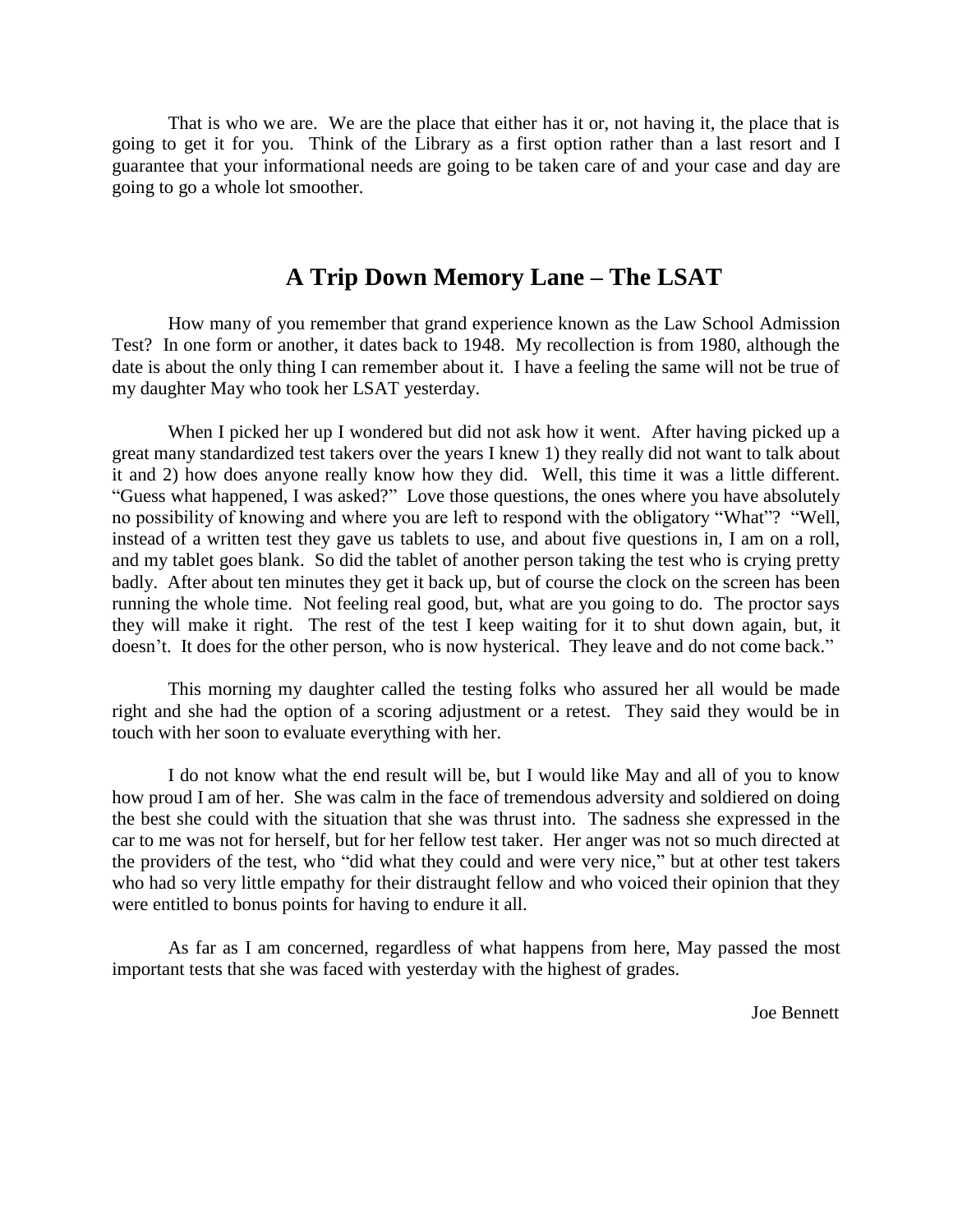That is who we are. We are the place that either has it or, not having it, the place that is going to get it for you. Think of the Library as a first option rather than a last resort and I guarantee that your informational needs are going to be taken care of and your case and day are going to go a whole lot smoother.

# **A Trip Down Memory Lane – The LSAT**

How many of you remember that grand experience known as the Law School Admission Test? In one form or another, it dates back to 1948. My recollection is from 1980, although the date is about the only thing I can remember about it. I have a feeling the same will not be true of my daughter May who took her LSAT yesterday.

When I picked her up I wondered but did not ask how it went. After having picked up a great many standardized test takers over the years I knew 1) they really did not want to talk about it and 2) how does anyone really know how they did. Well, this time it was a little different. "Guess what happened, I was asked?" Love those questions, the ones where you have absolutely no possibility of knowing and where you are left to respond with the obligatory "What"? "Well, instead of a written test they gave us tablets to use, and about five questions in, I am on a roll, and my tablet goes blank. So did the tablet of another person taking the test who is crying pretty badly. After about ten minutes they get it back up, but of course the clock on the screen has been running the whole time. Not feeling real good, but, what are you going to do. The proctor says they will make it right. The rest of the test I keep waiting for it to shut down again, but, it doesn't. It does for the other person, who is now hysterical. They leave and do not come back."

This morning my daughter called the testing folks who assured her all would be made right and she had the option of a scoring adjustment or a retest. They said they would be in touch with her soon to evaluate everything with her.

I do not know what the end result will be, but I would like May and all of you to know how proud I am of her. She was calm in the face of tremendous adversity and soldiered on doing the best she could with the situation that she was thrust into. The sadness she expressed in the car to me was not for herself, but for her fellow test taker. Her anger was not so much directed at the providers of the test, who "did what they could and were very nice," but at other test takers who had so very little empathy for their distraught fellow and who voiced their opinion that they were entitled to bonus points for having to endure it all.

As far as I am concerned, regardless of what happens from here, May passed the most important tests that she was faced with yesterday with the highest of grades.

Joe Bennett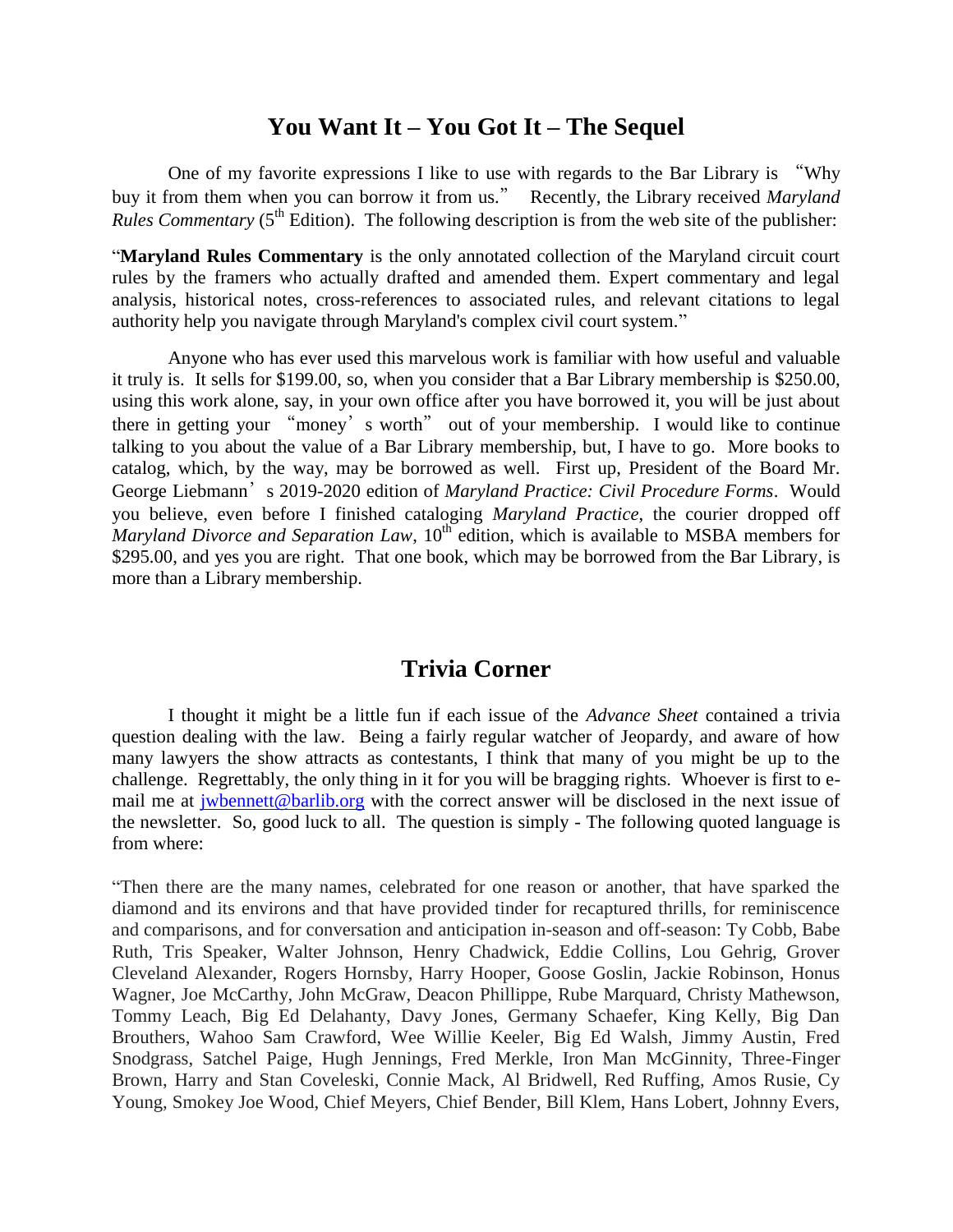# **You Want It – You Got It – The Sequel**

One of my favorite expressions I like to use with regards to the Bar Library is "Why buy it from them when you can borrow it from us." Recently, the Library received *Maryland Rules Commentary* ( $5<sup>th</sup>$  Edition). The following description is from the web site of the publisher:

"**Maryland Rules Commentary** is the only annotated collection of the Maryland circuit court rules by the framers who actually drafted and amended them. Expert commentary and legal analysis, historical notes, cross-references to associated rules, and relevant citations to legal authority help you navigate through Maryland's complex civil court system."

Anyone who has ever used this marvelous work is familiar with how useful and valuable it truly is. It sells for \$199.00, so, when you consider that a Bar Library membership is \$250.00, using this work alone, say, in your own office after you have borrowed it, you will be just about there in getting your "money's worth" out of your membership. I would like to continue talking to you about the value of a Bar Library membership, but, I have to go. More books to catalog, which, by the way, may be borrowed as well. First up, President of the Board Mr. George Liebmann's 2019-2020 edition of *Maryland Practice: Civil Procedure Forms*. Would you believe, even before I finished cataloging *Maryland Practice*, the courier dropped off *Maryland Divorce and Separation Law*, 10<sup>th</sup> edition, which is available to MSBA members for \$295.00, and yes you are right. That one book, which may be borrowed from the Bar Library, is more than a Library membership.

# **Trivia Corner**

I thought it might be a little fun if each issue of the *Advance Sheet* contained a trivia question dealing with the law. Being a fairly regular watcher of Jeopardy, and aware of how many lawyers the show attracts as contestants, I think that many of you might be up to the challenge. Regrettably, the only thing in it for you will be bragging rights. Whoever is first to email me at [jwbennett@barlib.org](mailto:jwbennett@barlib.org) with the correct answer will be disclosed in the next issue of the newsletter. So, good luck to all. The question is simply - The following quoted language is from where:

"Then there are the many names, celebrated for one reason or another, that have sparked the diamond and its environs and that have provided tinder for recaptured thrills, for reminiscence and comparisons, and for conversation and anticipation in-season and off-season: Ty Cobb, Babe Ruth, Tris Speaker, Walter Johnson, Henry Chadwick, Eddie Collins, Lou Gehrig, Grover Cleveland Alexander, Rogers Hornsby, Harry Hooper, Goose Goslin, Jackie Robinson, Honus Wagner, Joe McCarthy, John McGraw, Deacon Phillippe, Rube Marquard, Christy Mathewson, Tommy Leach, Big Ed Delahanty, Davy Jones, Germany Schaefer, King Kelly, Big Dan Brouthers, Wahoo Sam Crawford, Wee Willie Keeler, Big Ed Walsh, Jimmy Austin, Fred Snodgrass, Satchel Paige, Hugh Jennings, Fred Merkle, Iron Man McGinnity, Three-Finger Brown, Harry and Stan Coveleski, Connie Mack, Al Bridwell, Red Ruffing, Amos Rusie, Cy Young, Smokey Joe Wood, Chief Meyers, Chief Bender, Bill Klem, Hans Lobert, Johnny Evers,